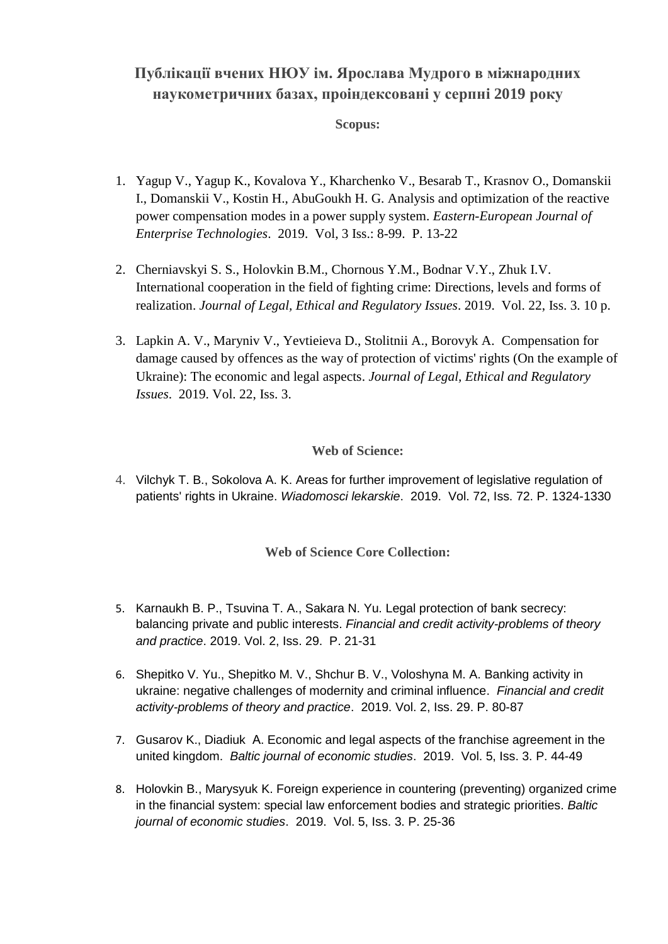## **Публікації вчених НЮУ ім. Ярослава Мудрого в міжнародних наукометричних базах, проіндексовані у серпні 2019 року**

## **Scopus:**

- 1. Yagup V., Yagup K., Kovalova Y., Kharchenko V., Besarab T., Krasnov O., Domanskii I., Domanskii V., Kostin H., AbuGoukh H. G. Analysis and optimization of the reactive power compensation modes in a power supply system. *Eastern-European Journal of Enterprise Technologies*. 2019. Vol, 3 Iss.: 8-99. P. 13-22
- 2. Cherniavskyi S. S., Holovkin B.M., Chornous Y.M., Bodnar V.Y., Zhuk I.V. International cooperation in the field of fighting crime: Directions, levels and forms of realization. *Journal of Legal, Ethical and Regulatory Issues*. 2019. Vol. 22, Iss. 3. 10 p.
- 3. Lapkin A. V., Maryniv V., Yevtieieva D., Stolitnii A., Borovyk A. Compensation for damage caused by offences as the way of protection of victims' rights (On the example of Ukraine): The economic and legal aspects. *Journal of Legal, Ethical and Regulatory Issues*. 2019. Vol. 22, Iss. 3.

## **Web of Science:**

4. Vilchyk T. B., Sokolova A. K. Areas for further improvement of legislative regulation of patients' rights in Ukraine. *Wiadomosci lekarskie*. 2019. Vol. 72, Iss. 72. P. 1324-1330

## **Web of Science Core Collection:**

- 5. Karnaukh B. P., Tsuvina T. A., Sakara N. Yu. Legal protection of bank secrecy: balancing private and public interests. *Financial and credit activity-problems of theory and practice*. 2019. Vol. 2, Iss. 29. P. 21-31
- 6. Shepitko V. Yu., Shepitko M. V., Shchur B. V., Voloshyna M. A. Banking activity in ukraine: negative challenges of modernity and criminal influence. *Financial and credit activity-problems of theory and practice*. 2019. Vol. 2, Iss. 29. P. 80-87
- 7. Gusarov K., Diadiuk А. Economic and legal aspects of the franchise agreement in the united kingdom. *Baltic journal of economic studies*. 2019. Vol. 5, Iss. 3. P. 44-49
- 8. Holovkin B., Marysyuk K. Foreign experience in countering (preventing) organized crime in the financial system: special law enforcement bodies and strategic priorities. *Baltic journal of economic studies*. 2019. Vol. 5, Iss. 3. P. 25-36